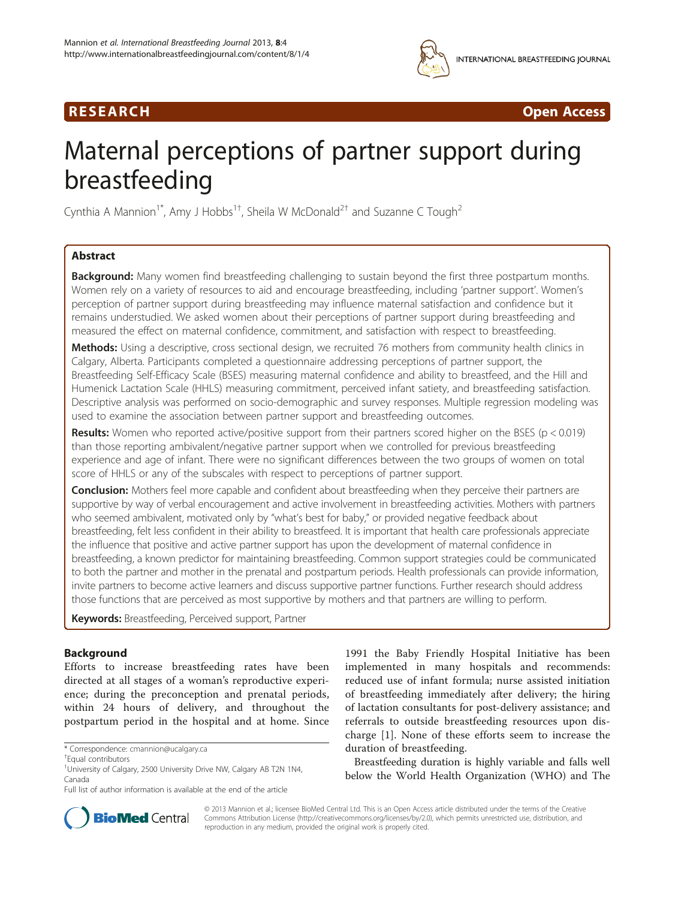



# Maternal perceptions of partner support during breastfeeding

Cynthia A Mannion<sup>1\*</sup>, Amy J Hobbs<sup>1†</sup>, Sheila W McDonald<sup>2†</sup> and Suzanne C Tough<sup>2</sup>

### Abstract

Background: Many women find breastfeeding challenging to sustain beyond the first three postpartum months. Women rely on a variety of resources to aid and encourage breastfeeding, including 'partner support'. Women's perception of partner support during breastfeeding may influence maternal satisfaction and confidence but it remains understudied. We asked women about their perceptions of partner support during breastfeeding and measured the effect on maternal confidence, commitment, and satisfaction with respect to breastfeeding.

Methods: Using a descriptive, cross sectional design, we recruited 76 mothers from community health clinics in Calgary, Alberta. Participants completed a questionnaire addressing perceptions of partner support, the Breastfeeding Self-Efficacy Scale (BSES) measuring maternal confidence and ability to breastfeed, and the Hill and Humenick Lactation Scale (HHLS) measuring commitment, perceived infant satiety, and breastfeeding satisfaction. Descriptive analysis was performed on socio-demographic and survey responses. Multiple regression modeling was used to examine the association between partner support and breastfeeding outcomes.

**Results:** Women who reported active/positive support from their partners scored higher on the BSES ( $p < 0.019$ ) than those reporting ambivalent/negative partner support when we controlled for previous breastfeeding experience and age of infant. There were no significant differences between the two groups of women on total score of HHLS or any of the subscales with respect to perceptions of partner support.

Conclusion: Mothers feel more capable and confident about breastfeeding when they perceive their partners are supportive by way of verbal encouragement and active involvement in breastfeeding activities. Mothers with partners who seemed ambivalent, motivated only by "what's best for baby," or provided negative feedback about breastfeeding, felt less confident in their ability to breastfeed. It is important that health care professionals appreciate the influence that positive and active partner support has upon the development of maternal confidence in breastfeeding, a known predictor for maintaining breastfeeding. Common support strategies could be communicated to both the partner and mother in the prenatal and postpartum periods. Health professionals can provide information, invite partners to become active learners and discuss supportive partner functions. Further research should address those functions that are perceived as most supportive by mothers and that partners are willing to perform.

Keywords: Breastfeeding, Perceived support, Partner

#### Background

Efforts to increase breastfeeding rates have been directed at all stages of a woman's reproductive experience; during the preconception and prenatal periods, within 24 hours of delivery, and throughout the postpartum period in the hospital and at home. Since

1991 the Baby Friendly Hospital Initiative has been implemented in many hospitals and recommends: reduced use of infant formula; nurse assisted initiation of breastfeeding immediately after delivery; the hiring of lactation consultants for post-delivery assistance; and referrals to outside breastfeeding resources upon discharge [[1\]](#page-5-0). None of these efforts seem to increase the duration of breastfeeding.

Breastfeeding duration is highly variable and falls well below the World Health Organization (WHO) and The



© 2013 Mannion et al.; licensee BioMed Central Ltd. This is an Open Access article distributed under the terms of the Creative Commons Attribution License [\(http://creativecommons.org/licenses/by/2.0\)](http://creativecommons.org/licenses/by/2.0), which permits unrestricted use, distribution, and reproduction in any medium, provided the original work is properly cited.

<sup>\*</sup> Correspondence: [cmannion@ucalgary.ca](mailto:cmannion@ucalgary.ca) †

Equal contributors

<sup>&</sup>lt;sup>1</sup>University of Calgary, 2500 University Drive NW, Calgary AB T2N 1N4, Canada

Full list of author information is available at the end of the article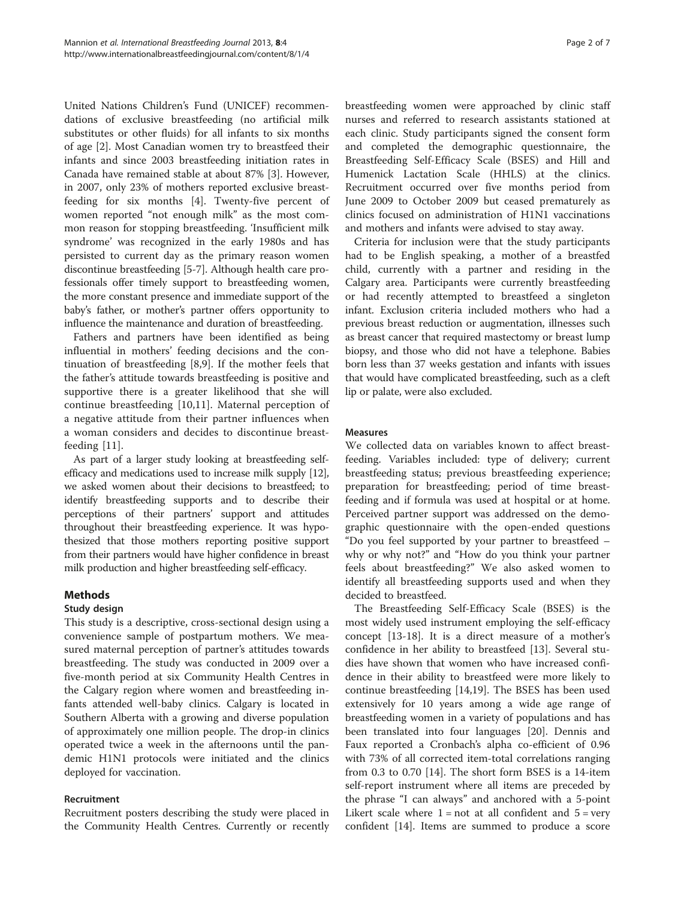United Nations Children's Fund (UNICEF) recommendations of exclusive breastfeeding (no artificial milk substitutes or other fluids) for all infants to six months of age [[2\]](#page-5-0). Most Canadian women try to breastfeed their infants and since 2003 breastfeeding initiation rates in Canada have remained stable at about 87% [\[3](#page-5-0)]. However, in 2007, only 23% of mothers reported exclusive breastfeeding for six months [[4\]](#page-5-0). Twenty-five percent of women reported "not enough milk" as the most common reason for stopping breastfeeding. 'Insufficient milk syndrome' was recognized in the early 1980s and has persisted to current day as the primary reason women discontinue breastfeeding [[5-7](#page-5-0)]. Although health care professionals offer timely support to breastfeeding women, the more constant presence and immediate support of the baby's father, or mother's partner offers opportunity to influence the maintenance and duration of breastfeeding.

Fathers and partners have been identified as being influential in mothers' feeding decisions and the continuation of breastfeeding [\[8,9\]](#page-5-0). If the mother feels that the father's attitude towards breastfeeding is positive and supportive there is a greater likelihood that she will continue breastfeeding [[10,11](#page-5-0)]. Maternal perception of a negative attitude from their partner influences when a woman considers and decides to discontinue breastfeeding [[11\]](#page-5-0).

As part of a larger study looking at breastfeeding selfefficacy and medications used to increase milk supply [[12](#page-5-0)], we asked women about their decisions to breastfeed; to identify breastfeeding supports and to describe their perceptions of their partners' support and attitudes throughout their breastfeeding experience. It was hypothesized that those mothers reporting positive support from their partners would have higher confidence in breast milk production and higher breastfeeding self-efficacy.

#### Methods

#### Study design

This study is a descriptive, cross-sectional design using a convenience sample of postpartum mothers. We measured maternal perception of partner's attitudes towards breastfeeding. The study was conducted in 2009 over a five-month period at six Community Health Centres in the Calgary region where women and breastfeeding infants attended well-baby clinics. Calgary is located in Southern Alberta with a growing and diverse population of approximately one million people. The drop-in clinics operated twice a week in the afternoons until the pandemic H1N1 protocols were initiated and the clinics deployed for vaccination.

#### Recruitment

Recruitment posters describing the study were placed in the Community Health Centres. Currently or recently breastfeeding women were approached by clinic staff nurses and referred to research assistants stationed at each clinic. Study participants signed the consent form and completed the demographic questionnaire, the Breastfeeding Self-Efficacy Scale (BSES) and Hill and Humenick Lactation Scale (HHLS) at the clinics. Recruitment occurred over five months period from June 2009 to October 2009 but ceased prematurely as clinics focused on administration of H1N1 vaccinations and mothers and infants were advised to stay away.

Criteria for inclusion were that the study participants had to be English speaking, a mother of a breastfed child, currently with a partner and residing in the Calgary area. Participants were currently breastfeeding or had recently attempted to breastfeed a singleton infant. Exclusion criteria included mothers who had a previous breast reduction or augmentation, illnesses such as breast cancer that required mastectomy or breast lump biopsy, and those who did not have a telephone. Babies born less than 37 weeks gestation and infants with issues that would have complicated breastfeeding, such as a cleft lip or palate, were also excluded.

#### Measures

We collected data on variables known to affect breastfeeding. Variables included: type of delivery; current breastfeeding status; previous breastfeeding experience; preparation for breastfeeding; period of time breastfeeding and if formula was used at hospital or at home. Perceived partner support was addressed on the demographic questionnaire with the open-ended questions "Do you feel supported by your partner to breastfeed – why or why not?" and "How do you think your partner feels about breastfeeding?" We also asked women to identify all breastfeeding supports used and when they decided to breastfeed.

The Breastfeeding Self-Efficacy Scale (BSES) is the most widely used instrument employing the self-efficacy concept [\[13](#page-5-0)-[18\]](#page-6-0). It is a direct measure of a mother's confidence in her ability to breastfeed [[13\]](#page-5-0). Several studies have shown that women who have increased confidence in their ability to breastfeed were more likely to continue breastfeeding [[14,19\]](#page-6-0). The BSES has been used extensively for 10 years among a wide age range of breastfeeding women in a variety of populations and has been translated into four languages [\[20](#page-6-0)]. Dennis and Faux reported a Cronbach's alpha co-efficient of 0.96 with 73% of all corrected item-total correlations ranging from 0.3 to 0.70 [[14](#page-6-0)]. The short form BSES is a 14-item self-report instrument where all items are preceded by the phrase "I can always" and anchored with a 5-point Likert scale where  $1 = not$  at all confident and  $5 = very$ confident [\[14](#page-6-0)]. Items are summed to produce a score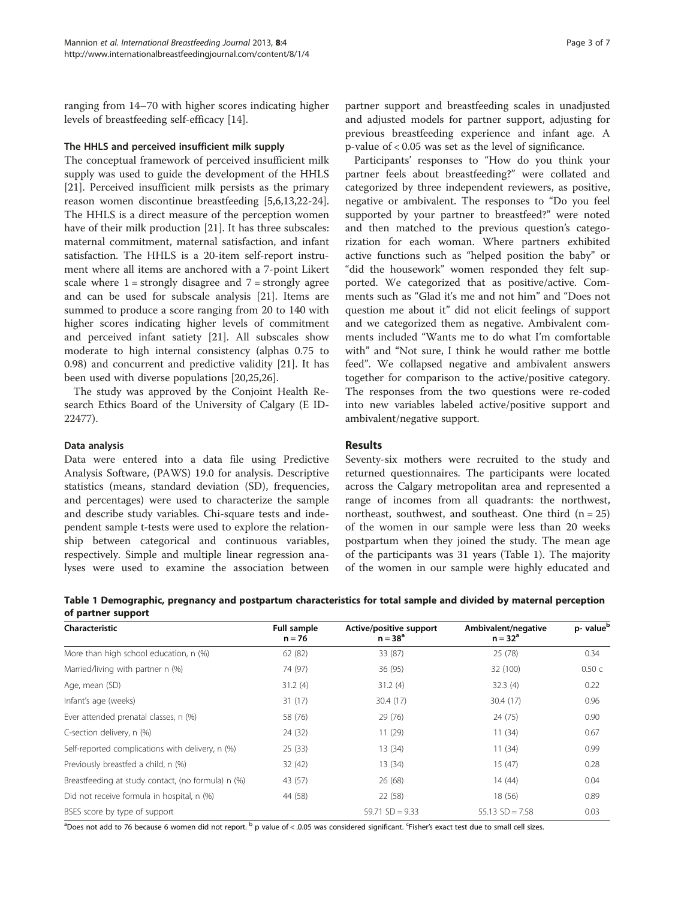<span id="page-2-0"></span>ranging from 14–70 with higher scores indicating higher levels of breastfeeding self-efficacy [[14\]](#page-6-0).

#### The HHLS and perceived insufficient milk supply

The conceptual framework of perceived insufficient milk supply was used to guide the development of the HHLS [[21\]](#page-6-0). Perceived insufficient milk persists as the primary reason women discontinue breastfeeding [[5,6,13,](#page-5-0)[22-24](#page-6-0)]. The HHLS is a direct measure of the perception women have of their milk production [\[21\]](#page-6-0). It has three subscales: maternal commitment, maternal satisfaction, and infant satisfaction. The HHLS is a 20-item self-report instrument where all items are anchored with a 7-point Likert scale where  $1 =$  strongly disagree and  $7 =$  strongly agree and can be used for subscale analysis [[21\]](#page-6-0). Items are summed to produce a score ranging from 20 to 140 with higher scores indicating higher levels of commitment and perceived infant satiety [\[21\]](#page-6-0). All subscales show moderate to high internal consistency (alphas 0.75 to 0.98) and concurrent and predictive validity [[21](#page-6-0)]. It has been used with diverse populations [[20,25,26\]](#page-6-0).

The study was approved by the Conjoint Health Research Ethics Board of the University of Calgary (E ID-22477).

#### Data analysis

Data were entered into a data file using Predictive Analysis Software, (PAWS) 19.0 for analysis. Descriptive statistics (means, standard deviation (SD), frequencies, and percentages) were used to characterize the sample and describe study variables. Chi-square tests and independent sample t-tests were used to explore the relationship between categorical and continuous variables, respectively. Simple and multiple linear regression analyses were used to examine the association between

partner support and breastfeeding scales in unadjusted and adjusted models for partner support, adjusting for previous breastfeeding experience and infant age. A p-value of < 0.05 was set as the level of significance.

Participants' responses to "How do you think your partner feels about breastfeeding?" were collated and categorized by three independent reviewers, as positive, negative or ambivalent. The responses to "Do you feel supported by your partner to breastfeed?" were noted and then matched to the previous question's categorization for each woman. Where partners exhibited active functions such as "helped position the baby" or "did the housework" women responded they felt supported. We categorized that as positive/active. Comments such as "Glad it's me and not him" and "Does not question me about it" did not elicit feelings of support and we categorized them as negative. Ambivalent comments included "Wants me to do what I'm comfortable with" and "Not sure, I think he would rather me bottle feed". We collapsed negative and ambivalent answers together for comparison to the active/positive category. The responses from the two questions were re-coded into new variables labeled active/positive support and ambivalent/negative support.

#### Results

Seventy-six mothers were recruited to the study and returned questionnaires. The participants were located across the Calgary metropolitan area and represented a range of incomes from all quadrants: the northwest, northeast, southwest, and southeast. One third  $(n = 25)$ of the women in our sample were less than 20 weeks postpartum when they joined the study. The mean age of the participants was 31 years (Table 1). The majority of the women in our sample were highly educated and

Table 1 Demographic, pregnancy and postpartum characteristics for total sample and divided by maternal perception of partner support

| Characteristic                                     | Full sample<br>$n = 76$ | Active/positive support<br>$n = 38^{a}$ | Ambivalent/negative<br>$n = 32^{a}$ | p-value <sup>b</sup> |
|----------------------------------------------------|-------------------------|-----------------------------------------|-------------------------------------|----------------------|
| More than high school education, n (%)             | 62 (82)                 | 33 (87)                                 | 25(78)                              | 0.34                 |
| Married/living with partner n (%)                  | 74 (97)                 | 36 (95)                                 | 32 (100)                            | 0.50c                |
| Age, mean (SD)                                     | 31.2(4)                 | 31.2(4)                                 | 32.3(4)                             | 0.22                 |
| Infant's age (weeks)                               | 31(17)                  | 30.4(17)                                | 30.4 (17)                           | 0.96                 |
| Ever attended prenatal classes, n (%)              | 58 (76)                 | 29(76)                                  | 24 (75)                             | 0.90                 |
| C-section delivery, n (%)                          | 24 (32)                 | 11(29)                                  | 11(34)                              | 0.67                 |
| Self-reported complications with delivery, n (%)   | 25(33)                  | 13(34)                                  | 11(34)                              | 0.99                 |
| Previously breastfed a child, n (%)                | 32(42)                  | 13(34)                                  | 15(47)                              | 0.28                 |
| Breastfeeding at study contact, (no formula) n (%) | 43 (57)                 | 26 (68)                                 | 14(44)                              | 0.04                 |
| Did not receive formula in hospital, n (%)         | 44 (58)                 | 22 (58)                                 | 18 (56)                             | 0.89                 |
| BSES score by type of support                      |                         | $59.71$ SD = 9.33                       | $55.13 SD = 7.58$                   | 0.03                 |

<sup>a</sup>Does not add to 76 because 6 women did not report. <sup>b</sup> p value of < .0.05 was considered significant. <sup>c</sup>Fisher's exact test due to small cell sizes.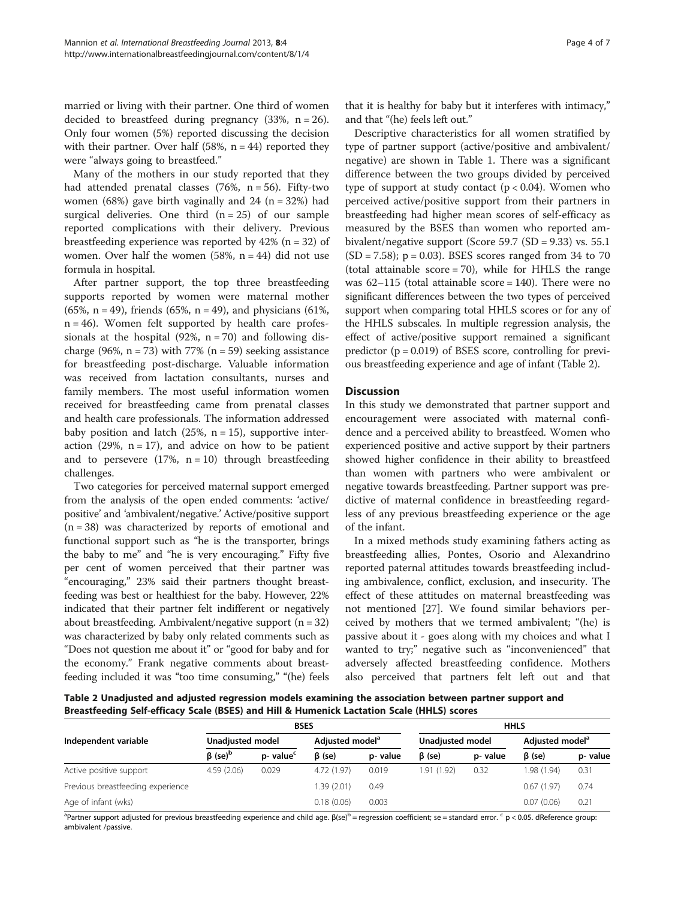married or living with their partner. One third of women decided to breastfeed during pregnancy  $(33\%, n = 26)$ . Only four women (5%) reported discussing the decision with their partner. Over half  $(58\%, n = 44)$  reported they were "always going to breastfeed."

Many of the mothers in our study reported that they had attended prenatal classes  $(76\% , n = 56)$ . Fifty-two women (68%) gave birth vaginally and 24 ( $n = 32$ %) had surgical deliveries. One third  $(n = 25)$  of our sample reported complications with their delivery. Previous breastfeeding experience was reported by  $42\%$  (n = 32) of women. Over half the women (58%,  $n = 44$ ) did not use formula in hospital.

After partner support, the top three breastfeeding supports reported by women were maternal mother (65%, n = 49), friends (65%, n = 49), and physicians (61%,  $n = 46$ ). Women felt supported by health care professionals at the hospital  $(92\%, n = 70)$  and following discharge (96%,  $n = 73$ ) with 77% ( $n = 59$ ) seeking assistance for breastfeeding post-discharge. Valuable information was received from lactation consultants, nurses and family members. The most useful information women received for breastfeeding came from prenatal classes and health care professionals. The information addressed baby position and latch  $(25\% , n = 15)$ , supportive interaction (29%,  $n = 17$ ), and advice on how to be patient and to persevere  $(17\% , n = 10)$  through breastfeeding challenges.

Two categories for perceived maternal support emerged from the analysis of the open ended comments: 'active/ positive' and 'ambivalent/negative.' Active/positive support  $(n = 38)$  was characterized by reports of emotional and functional support such as "he is the transporter, brings the baby to me" and "he is very encouraging." Fifty five per cent of women perceived that their partner was "encouraging," 23% said their partners thought breastfeeding was best or healthiest for the baby. However, 22% indicated that their partner felt indifferent or negatively about breastfeeding. Ambivalent/negative support  $(n = 32)$ was characterized by baby only related comments such as "Does not question me about it" or "good for baby and for the economy." Frank negative comments about breastfeeding included it was "too time consuming," "(he) feels

that it is healthy for baby but it interferes with intimacy," and that "(he) feels left out."

Descriptive characteristics for all women stratified by type of partner support (active/positive and ambivalent/ negative) are shown in Table [1](#page-2-0). There was a significant difference between the two groups divided by perceived type of support at study contact  $(p < 0.04)$ . Women who perceived active/positive support from their partners in breastfeeding had higher mean scores of self-efficacy as measured by the BSES than women who reported ambivalent/negative support (Score 59.7 (SD = 9.33) vs. 55.1  $(SD = 7.58)$ ; p = 0.03). BSES scores ranged from 34 to 70 (total attainable score  $= 70$ ), while for HHLS the range was  $62-115$  (total attainable score = 140). There were no significant differences between the two types of perceived support when comparing total HHLS scores or for any of the HHLS subscales. In multiple regression analysis, the effect of active/positive support remained a significant predictor  $(p = 0.019)$  of BSES score, controlling for previous breastfeeding experience and age of infant (Table 2).

#### **Discussion**

In this study we demonstrated that partner support and encouragement were associated with maternal confidence and a perceived ability to breastfeed. Women who experienced positive and active support by their partners showed higher confidence in their ability to breastfeed than women with partners who were ambivalent or negative towards breastfeeding. Partner support was predictive of maternal confidence in breastfeeding regardless of any previous breastfeeding experience or the age of the infant.

In a mixed methods study examining fathers acting as breastfeeding allies, Pontes, Osorio and Alexandrino reported paternal attitudes towards breastfeeding including ambivalence, conflict, exclusion, and insecurity. The effect of these attitudes on maternal breastfeeding was not mentioned [[27\]](#page-6-0). We found similar behaviors perceived by mothers that we termed ambivalent; "(he) is passive about it - goes along with my choices and what I wanted to try;" negative such as "inconvenienced" that adversely affected breastfeeding confidence. Mothers also perceived that partners felt left out and that

Table 2 Unadjusted and adjusted regression models examining the association between partner support and Breastfeeding Self-efficacy Scale (BSES) and Hill & Humenick Lactation Scale (HHLS) scores

| Independent variable              | <b>BSES</b>               |                       |                             |          | <b>HHLS</b>      |          |                             |         |
|-----------------------------------|---------------------------|-----------------------|-----------------------------|----------|------------------|----------|-----------------------------|---------|
|                                   | Unadjusted model          |                       | Adjusted model <sup>a</sup> |          | Unadjusted model |          | Adjusted model <sup>a</sup> |         |
|                                   | $\beta$ (se) <sup>b</sup> | p- value <sup>c</sup> | $\beta$ (se)                | p- value | $\beta$ (se)     | p- value | $\beta$ (se)                | p-value |
| Active positive support           | 4.59 (2.06)               | 0.029                 | 4.72 (1.97)                 | 0.019    | 1.91 (1.92)      | 0.32     | 1.98 (1.94)                 | 0.31    |
| Previous breastfeeding experience |                           |                       | 1.39 (2.01)                 | 0.49     |                  |          | 0.67(1.97)                  | 0.74    |
| Age of infant (wks)               |                           |                       | 0.18(0.06)                  | 0.003    |                  |          | 0.07(0.06)                  | 0.21    |

<sup>a</sup>Partner support adjusted for previous breastfeeding experience and child age. β(se)<sup>b</sup> = regression coefficient; se = standard error. <sup>c</sup> p < 0.05. dReference group: ambivalent /passive.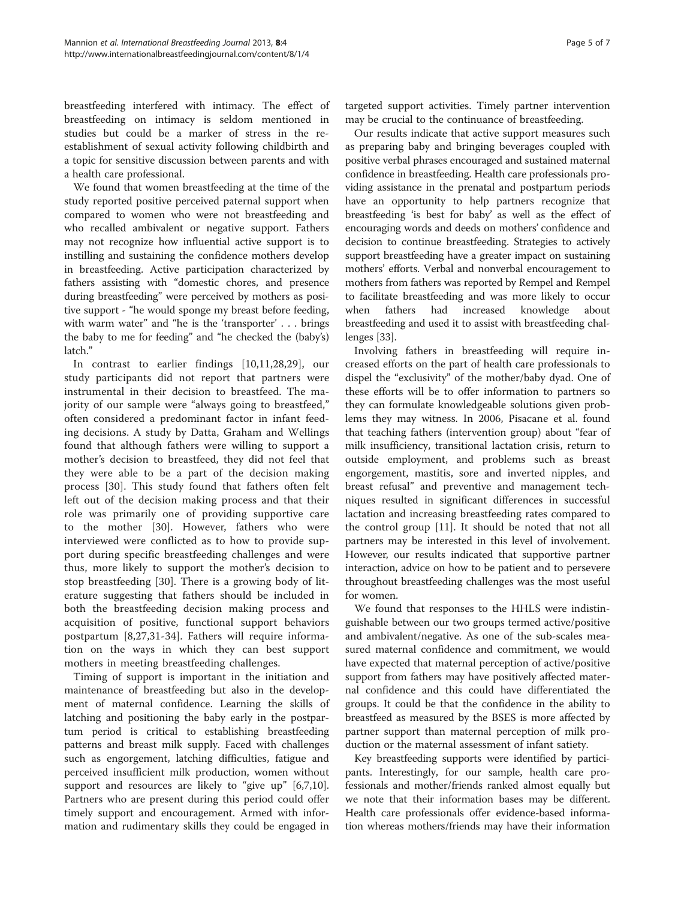breastfeeding interfered with intimacy. The effect of breastfeeding on intimacy is seldom mentioned in studies but could be a marker of stress in the reestablishment of sexual activity following childbirth and a topic for sensitive discussion between parents and with a health care professional.

We found that women breastfeeding at the time of the study reported positive perceived paternal support when compared to women who were not breastfeeding and who recalled ambivalent or negative support. Fathers may not recognize how influential active support is to instilling and sustaining the confidence mothers develop in breastfeeding. Active participation characterized by fathers assisting with "domestic chores, and presence during breastfeeding" were perceived by mothers as positive support - "he would sponge my breast before feeding, with warm water" and "he is the 'transporter' . . . brings the baby to me for feeding" and "he checked the (baby's) latch."

In contrast to earlier findings [[10](#page-5-0),[11,](#page-5-0)[28,29](#page-6-0)], our study participants did not report that partners were instrumental in their decision to breastfeed. The majority of our sample were "always going to breastfeed," often considered a predominant factor in infant feeding decisions. A study by Datta, Graham and Wellings found that although fathers were willing to support a mother's decision to breastfeed, they did not feel that they were able to be a part of the decision making process [[30\]](#page-6-0). This study found that fathers often felt left out of the decision making process and that their role was primarily one of providing supportive care to the mother [\[30](#page-6-0)]. However, fathers who were interviewed were conflicted as to how to provide support during specific breastfeeding challenges and were thus, more likely to support the mother's decision to stop breastfeeding [\[30](#page-6-0)]. There is a growing body of literature suggesting that fathers should be included in both the breastfeeding decision making process and acquisition of positive, functional support behaviors postpartum [[8,](#page-5-0)[27,31](#page-6-0)-[34\]](#page-6-0). Fathers will require information on the ways in which they can best support mothers in meeting breastfeeding challenges.

Timing of support is important in the initiation and maintenance of breastfeeding but also in the development of maternal confidence. Learning the skills of latching and positioning the baby early in the postpartum period is critical to establishing breastfeeding patterns and breast milk supply. Faced with challenges such as engorgement, latching difficulties, fatigue and perceived insufficient milk production, women without support and resources are likely to "give up" [\[6,7,10](#page-5-0)]. Partners who are present during this period could offer timely support and encouragement. Armed with information and rudimentary skills they could be engaged in

targeted support activities. Timely partner intervention may be crucial to the continuance of breastfeeding.

Our results indicate that active support measures such as preparing baby and bringing beverages coupled with positive verbal phrases encouraged and sustained maternal confidence in breastfeeding. Health care professionals providing assistance in the prenatal and postpartum periods have an opportunity to help partners recognize that breastfeeding 'is best for baby' as well as the effect of encouraging words and deeds on mothers' confidence and decision to continue breastfeeding. Strategies to actively support breastfeeding have a greater impact on sustaining mothers' efforts. Verbal and nonverbal encouragement to mothers from fathers was reported by Rempel and Rempel to facilitate breastfeeding and was more likely to occur when fathers had increased knowledge about breastfeeding and used it to assist with breastfeeding challenges [\[33\]](#page-6-0).

Involving fathers in breastfeeding will require increased efforts on the part of health care professionals to dispel the "exclusivity" of the mother/baby dyad. One of these efforts will be to offer information to partners so they can formulate knowledgeable solutions given problems they may witness. In 2006, Pisacane et al. found that teaching fathers (intervention group) about "fear of milk insufficiency, transitional lactation crisis, return to outside employment, and problems such as breast engorgement, mastitis, sore and inverted nipples, and breast refusal" and preventive and management techniques resulted in significant differences in successful lactation and increasing breastfeeding rates compared to the control group [\[11](#page-5-0)]. It should be noted that not all partners may be interested in this level of involvement. However, our results indicated that supportive partner interaction, advice on how to be patient and to persevere throughout breastfeeding challenges was the most useful for women.

We found that responses to the HHLS were indistinguishable between our two groups termed active/positive and ambivalent/negative. As one of the sub-scales measured maternal confidence and commitment, we would have expected that maternal perception of active/positive support from fathers may have positively affected maternal confidence and this could have differentiated the groups. It could be that the confidence in the ability to breastfeed as measured by the BSES is more affected by partner support than maternal perception of milk production or the maternal assessment of infant satiety.

Key breastfeeding supports were identified by participants. Interestingly, for our sample, health care professionals and mother/friends ranked almost equally but we note that their information bases may be different. Health care professionals offer evidence-based information whereas mothers/friends may have their information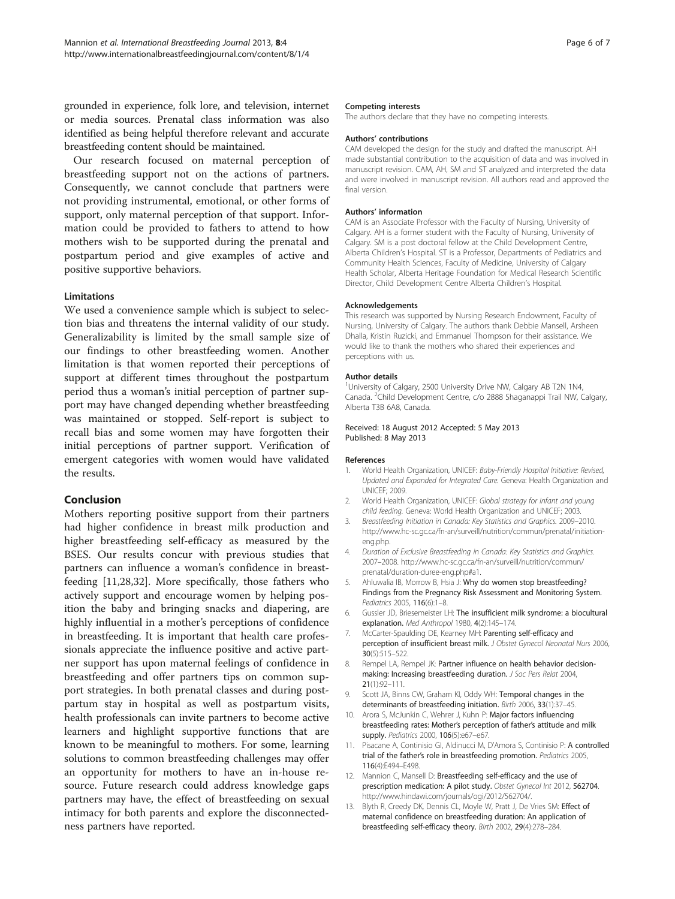<span id="page-5-0"></span>grounded in experience, folk lore, and television, internet or media sources. Prenatal class information was also identified as being helpful therefore relevant and accurate breastfeeding content should be maintained.

Our research focused on maternal perception of breastfeeding support not on the actions of partners. Consequently, we cannot conclude that partners were not providing instrumental, emotional, or other forms of support, only maternal perception of that support. Information could be provided to fathers to attend to how mothers wish to be supported during the prenatal and postpartum period and give examples of active and positive supportive behaviors.

#### Limitations

We used a convenience sample which is subject to selection bias and threatens the internal validity of our study. Generalizability is limited by the small sample size of our findings to other breastfeeding women. Another limitation is that women reported their perceptions of support at different times throughout the postpartum period thus a woman's initial perception of partner support may have changed depending whether breastfeeding was maintained or stopped. Self-report is subject to recall bias and some women may have forgotten their initial perceptions of partner support. Verification of emergent categories with women would have validated the results.

#### Conclusion

Mothers reporting positive support from their partners had higher confidence in breast milk production and higher breastfeeding self-efficacy as measured by the BSES. Our results concur with previous studies that partners can influence a woman's confidence in breastfeeding [11,[28,32\]](#page-6-0). More specifically, those fathers who actively support and encourage women by helping position the baby and bringing snacks and diapering, are highly influential in a mother's perceptions of confidence in breastfeeding. It is important that health care professionals appreciate the influence positive and active partner support has upon maternal feelings of confidence in breastfeeding and offer partners tips on common support strategies. In both prenatal classes and during postpartum stay in hospital as well as postpartum visits, health professionals can invite partners to become active learners and highlight supportive functions that are known to be meaningful to mothers. For some, learning solutions to common breastfeeding challenges may offer an opportunity for mothers to have an in-house resource. Future research could address knowledge gaps partners may have, the effect of breastfeeding on sexual intimacy for both parents and explore the disconnectedness partners have reported.

#### Competing interests

The authors declare that they have no competing interests.

#### Authors' contributions

CAM developed the design for the study and drafted the manuscript. AH made substantial contribution to the acquisition of data and was involved in manuscript revision. CAM, AH, SM and ST analyzed and interpreted the data and were involved in manuscript revision. All authors read and approved the final version.

#### Authors' information

CAM is an Associate Professor with the Faculty of Nursing, University of Calgary. AH is a former student with the Faculty of Nursing, University of Calgary. SM is a post doctoral fellow at the Child Development Centre, Alberta Children's Hospital. ST is a Professor, Departments of Pediatrics and Community Health Sciences, Faculty of Medicine, University of Calgary Health Scholar, Alberta Heritage Foundation for Medical Research Scientific Director, Child Development Centre Alberta Children's Hospital.

#### Acknowledgements

This research was supported by Nursing Research Endowment, Faculty of Nursing, University of Calgary. The authors thank Debbie Mansell, Arsheen Dhalla, Kristin Ruzicki, and Emmanuel Thompson for their assistance. We would like to thank the mothers who shared their experiences and perceptions with us.

#### Author details

<sup>1</sup> University of Calgary, 2500 University Drive NW, Calgary AB T2N 1N4 Canada. <sup>2</sup>Child Development Centre, c/o 2888 Shaganappi Trail NW, Calgary, Alberta T3B 6A8, Canada.

#### Received: 18 August 2012 Accepted: 5 May 2013 Published: 8 May 2013

#### References

- 1. World Health Organization, UNICEF: Baby-Friendly Hospital Initiative: Revised, Updated and Expanded for Integrated Care. Geneva: Health Organization and UNICEF; 2009.
- 2. World Health Organization, UNICEF: Global strategy for infant and young child feeding. Geneva: World Health Organization and UNICEF; 2003.
- 3. Breastfeeding Initiation in Canada: Key Statistics and Graphics. 2009–2010. [http://www.hc-sc.gc.ca/fn-an/surveill/nutrition/commun/prenatal/initiation](http://www.hc-sc.gc.ca/fn-an/surveill/nutrition/commun/prenatal/initiation-eng.php)[eng.php](http://www.hc-sc.gc.ca/fn-an/surveill/nutrition/commun/prenatal/initiation-eng.php).
- 4. Duration of Exclusive Breastfeeding in Canada: Key Statistics and Graphics. 2007–2008. [http://www.hc-sc.gc.ca/fn-an/surveill/nutrition/commun/](http://www.hc-sc.gc.ca/fn-an/surveill/nutrition/commun/prenatal/duration-duree-eng.php#a1) [prenatal/duration-duree-eng.php#a1.](http://www.hc-sc.gc.ca/fn-an/surveill/nutrition/commun/prenatal/duration-duree-eng.php#a1)
- 5. Ahluwalia IB, Morrow B, Hsia J: Why do women stop breastfeeding? Findings from the Pregnancy Risk Assessment and Monitoring System. Pediatrics 2005, 116(6):1–8.
- 6. Gussler JD, Briesemeister LH: The insufficient milk syndrome: a biocultural explanation. Med Anthropol 1980, 4(2):145–174.
- 7. McCarter-Spaulding DE, Kearney MH: Parenting self-efficacy and perception of insufficient breast milk. J Obstet Gynecol Neonatal Nurs 2006, 30(5):515–522.
- Rempel LA, Rempel JK: Partner influence on health behavior decisionmaking: Increasing breastfeeding duration. J Soc Pers Relat 2004, 21(1):92–111.
- 9. Scott JA, Binns CW, Graham KI, Oddy WH: Temporal changes in the determinants of breastfeeding initiation. Birth 2006, 33(1):37–45.
- 10. Arora S, McJunkin C, Wehrer J, Kuhn P: Major factors influencing breastfeeding rates: Mother's perception of father's attitude and milk supply. Pediatrics 2000, 106(5):e67-e67.
- 11. Pisacane A, Continisio Gl, Aldinucci M, D'Amora S, Continisio P: A controlled trial of the father's role in breastfeeding promotion. Pediatrics 2005, 116(4):E494–E498.
- 12. Mannion C, Mansell D: Breastfeeding self-efficacy and the use of prescription medication: A pilot study. Obstet Gynecol Int 2012, 562704. <http://www.hindawi.com/journals/ogi/2012/562704/>.
- 13. Blyth R, Creedy DK, Dennis CL, Moyle W, Pratt J, De Vries SM: Effect of maternal confidence on breastfeeding duration: An application of breastfeeding self-efficacy theory. Birth 2002, 29(4):278–284.